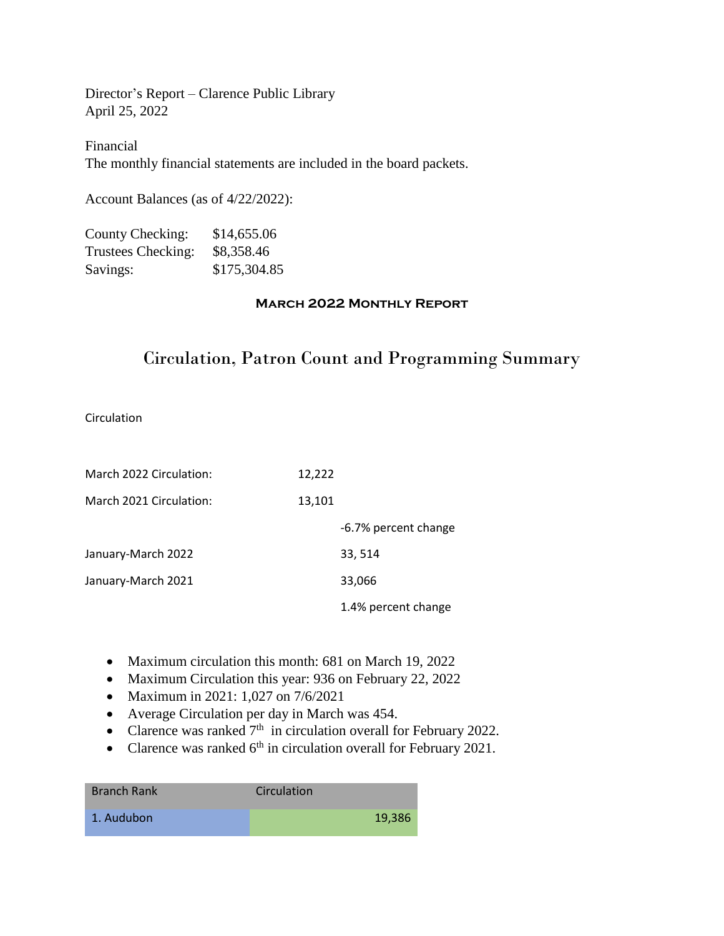Director's Report – Clarence Public Library April 25, 2022

Financial The monthly financial statements are included in the board packets.

Account Balances (as of 4/22/2022):

| County Checking:   | \$14,655.06  |
|--------------------|--------------|
| Trustees Checking: | \$8,358.46   |
| Savings:           | \$175,304.85 |

## **March 2022 Monthly Report**

# Circulation, Patron Count and Programming Summary

Circulation

| March 2022 Circulation: | 12,222               |
|-------------------------|----------------------|
| March 2021 Circulation: | 13,101               |
|                         | -6.7% percent change |
| January-March 2022      | 33, 514              |
| January-March 2021      | 33,066               |
|                         | 1.4% percent change  |

- Maximum circulation this month: 681 on March 19, 2022
- Maximum Circulation this year: 936 on February 22, 2022
- Maximum in 2021: 1,027 on 7/6/2021
- Average Circulation per day in March was 454.
- Clarence was ranked  $7<sup>th</sup>$  in circulation overall for February 2022.
- Clarence was ranked  $6<sup>th</sup>$  in circulation overall for February 2021.

| <b>Branch Rank</b> | Circulation |
|--------------------|-------------|
| 1. Audubon         | 19,386      |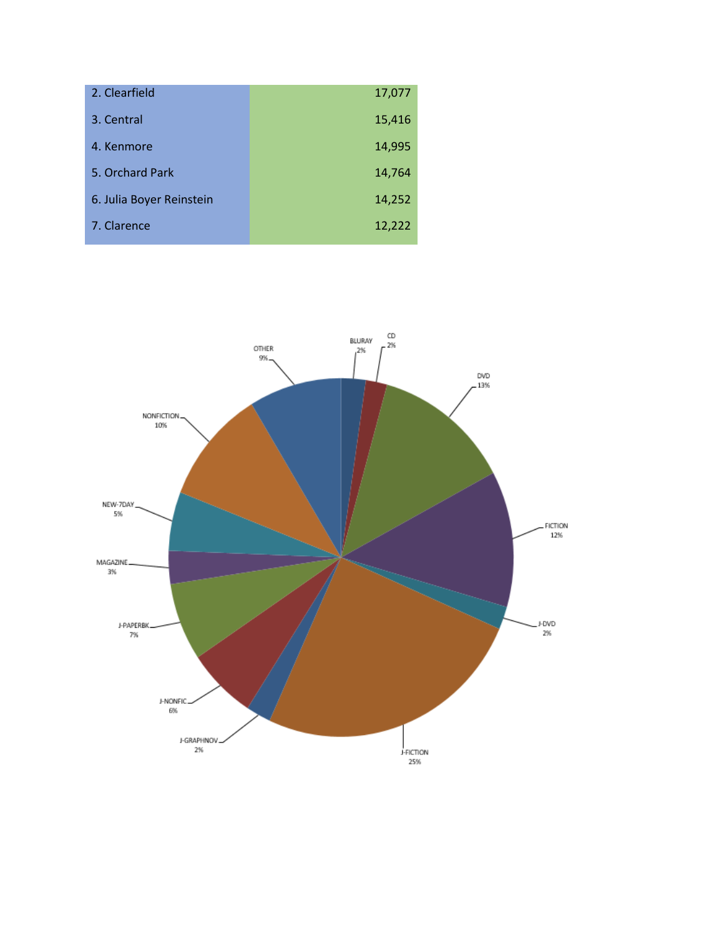| 2. Clearfield            | 17,077 |
|--------------------------|--------|
| 3. Central               | 15,416 |
| 4. Kenmore               | 14,995 |
| 5. Orchard Park          | 14,764 |
| 6. Julia Boyer Reinstein | 14,252 |
| 7. Clarence              | 12,222 |

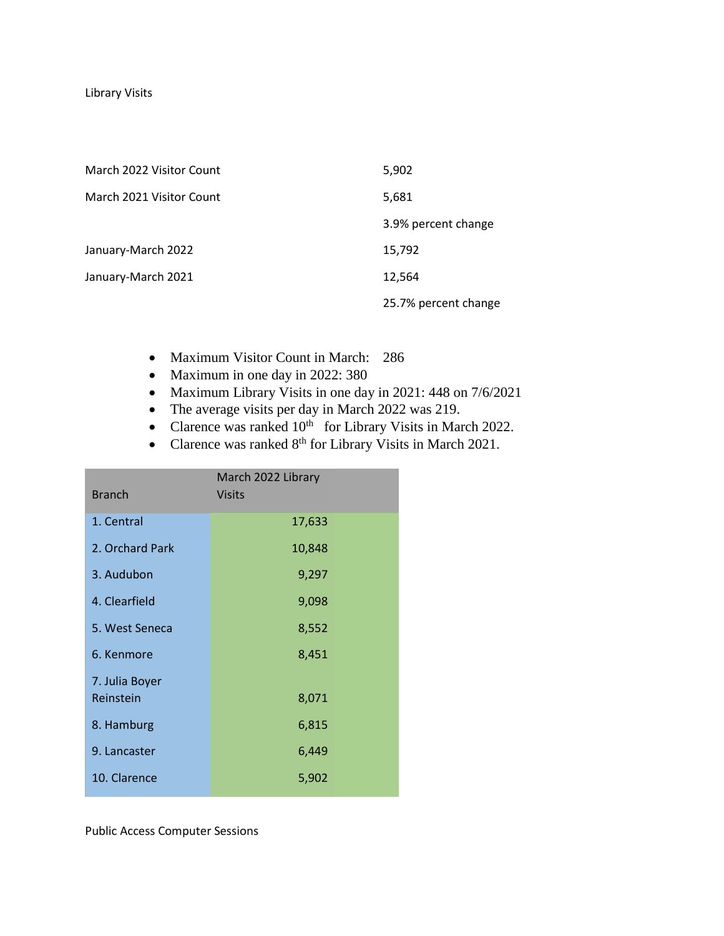Library Visits

| March 2022 Visitor Count | 5,902                |
|--------------------------|----------------------|
| March 2021 Visitor Count | 5,681                |
|                          | 3.9% percent change  |
| January-March 2022       | 15,792               |
| January-March 2021       | 12,564               |
|                          | 25.7% percent change |

- Maximum Visitor Count in March: 286
- Maximum in one day in 2022: 380
- Maximum Library Visits in one day in 2021: 448 on 7/6/2021
- The average visits per day in March 2022 was 219.
- Clarence was ranked  $10^{th}$  for Library Visits in March 2022.
- Clarence was ranked  $8<sup>th</sup>$  for Library Visits in March 2021.

| <b>Branch</b>   | March 2022 Library<br><b>Visits</b> |
|-----------------|-------------------------------------|
| 1. Central      | 17,633                              |
| 2. Orchard Park | 10,848                              |
| 3. Audubon      | 9,297                               |
| 4. Clearfield   | 9,098                               |
| 5. West Seneca  | 8,552                               |
| 6. Kenmore      | 8,451                               |
| 7. Julia Boyer  |                                     |
| Reinstein       | 8,071                               |
| 8. Hamburg      | 6,815                               |
| 9. Lancaster    | 6,449                               |
| 10. Clarence    | 5,902                               |

Public Access Computer Sessions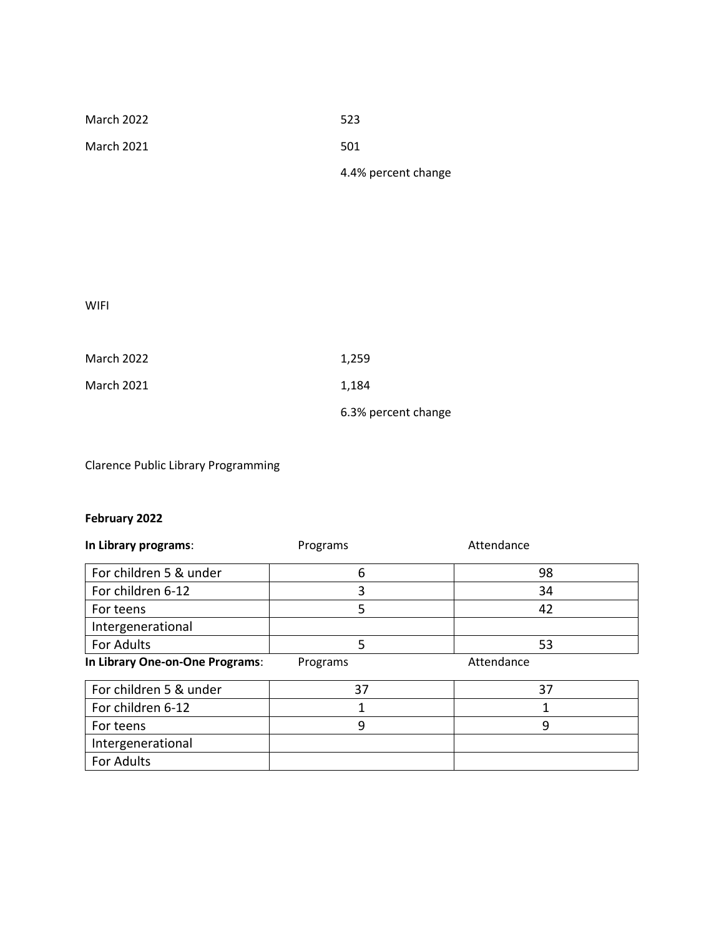| March 2022 | 523                 |
|------------|---------------------|
| March 2021 | 501                 |
|            | 4.4% percent change |

WIFI

| March 2022 | 1.259               |
|------------|---------------------|
| March 2021 | 1.184               |
|            | 6.3% percent change |

Clarence Public Library Programming

# **February 2022**

| In Library programs:            | Programs | Attendance |  |
|---------------------------------|----------|------------|--|
| For children 5 & under          | 6        | 98         |  |
| For children 6-12               | 3        | 34         |  |
| For teens                       | 5        | 42         |  |
| Intergenerational               |          |            |  |
| For Adults                      | 5        | 53         |  |
| In Library One-on-One Programs: | Programs | Attendance |  |
| For children 5 & under          | 37       | 37         |  |
| For children 6-12               |          |            |  |
| For teens                       | 9        | 9          |  |
| Intergenerational               |          |            |  |
|                                 |          |            |  |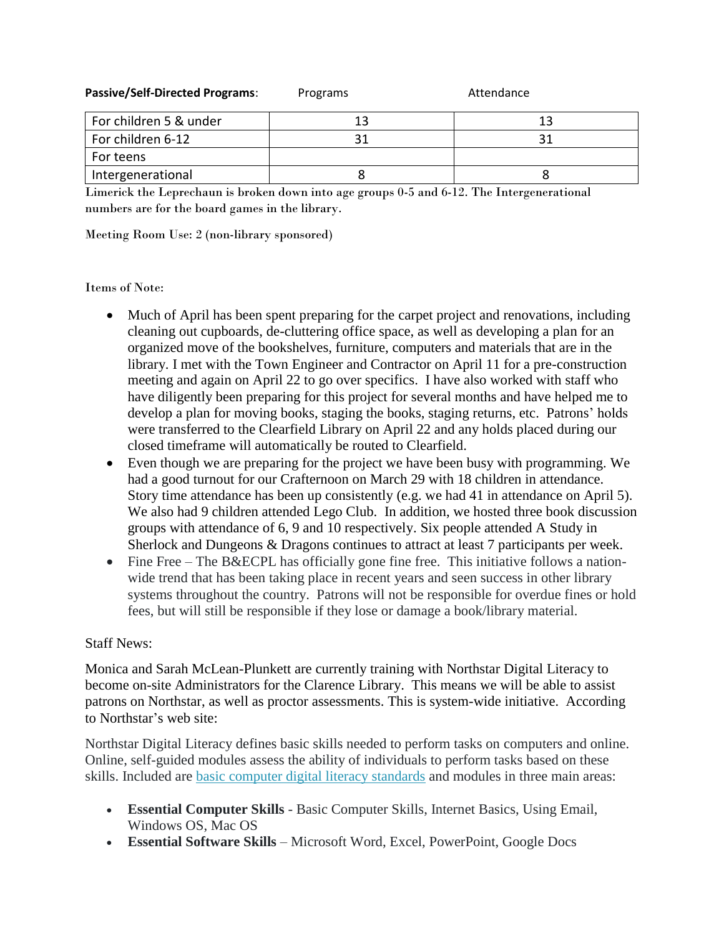| <b>Passive/Self-Directed Programs:</b> | Programs | Attendance |  |
|----------------------------------------|----------|------------|--|
| For children 5 & under                 | 13       | 13         |  |
| For children 6-12                      |          | 31         |  |
| For teens                              |          |            |  |
| Intergenerational                      |          |            |  |

Limerick the Leprechaun is broken down into age groups 0-5 and 6-12. The Intergenerational numbers are for the board games in the library.

Meeting Room Use: 2 (non-library sponsored)

#### Items of Note:

- Much of April has been spent preparing for the carpet project and renovations, including cleaning out cupboards, de-cluttering office space, as well as developing a plan for an organized move of the bookshelves, furniture, computers and materials that are in the library. I met with the Town Engineer and Contractor on April 11 for a pre-construction meeting and again on April 22 to go over specifics. I have also worked with staff who have diligently been preparing for this project for several months and have helped me to develop a plan for moving books, staging the books, staging returns, etc. Patrons' holds were transferred to the Clearfield Library on April 22 and any holds placed during our closed timeframe will automatically be routed to Clearfield.
- Even though we are preparing for the project we have been busy with programming. We had a good turnout for our Crafternoon on March 29 with 18 children in attendance. Story time attendance has been up consistently (e.g. we had 41 in attendance on April 5). We also had 9 children attended Lego Club. In addition, we hosted three book discussion groups with attendance of 6, 9 and 10 respectively. Six people attended A Study in Sherlock and Dungeons & Dragons continues to attract at least 7 participants per week.
- Fine Free The B&ECPL has officially gone fine free. This initiative follows a nationwide trend that has been taking place in recent years and seen success in other library systems throughout the country. Patrons will not be responsible for overdue fines or hold fees, but will still be responsible if they lose or damage a book/library material.

## Staff News:

Monica and Sarah McLean-Plunkett are currently training with Northstar Digital Literacy to become on-site Administrators for the Clarence Library. This means we will be able to assist patrons on Northstar, as well as proctor assessments. This is system-wide initiative. According to Northstar's web site:

Northstar Digital Literacy defines basic skills needed to perform tasks on computers and online. Online, self-guided modules assess the ability of individuals to perform tasks based on these skills. Included are [basic computer digital literacy standards](https://www.digitalliteracyassessment.org/features#standards) and modules in three main areas:

- **Essential Computer Skills** Basic Computer Skills, Internet Basics, Using Email, Windows OS, Mac OS
- **Essential Software Skills** Microsoft Word, Excel, PowerPoint, Google Docs